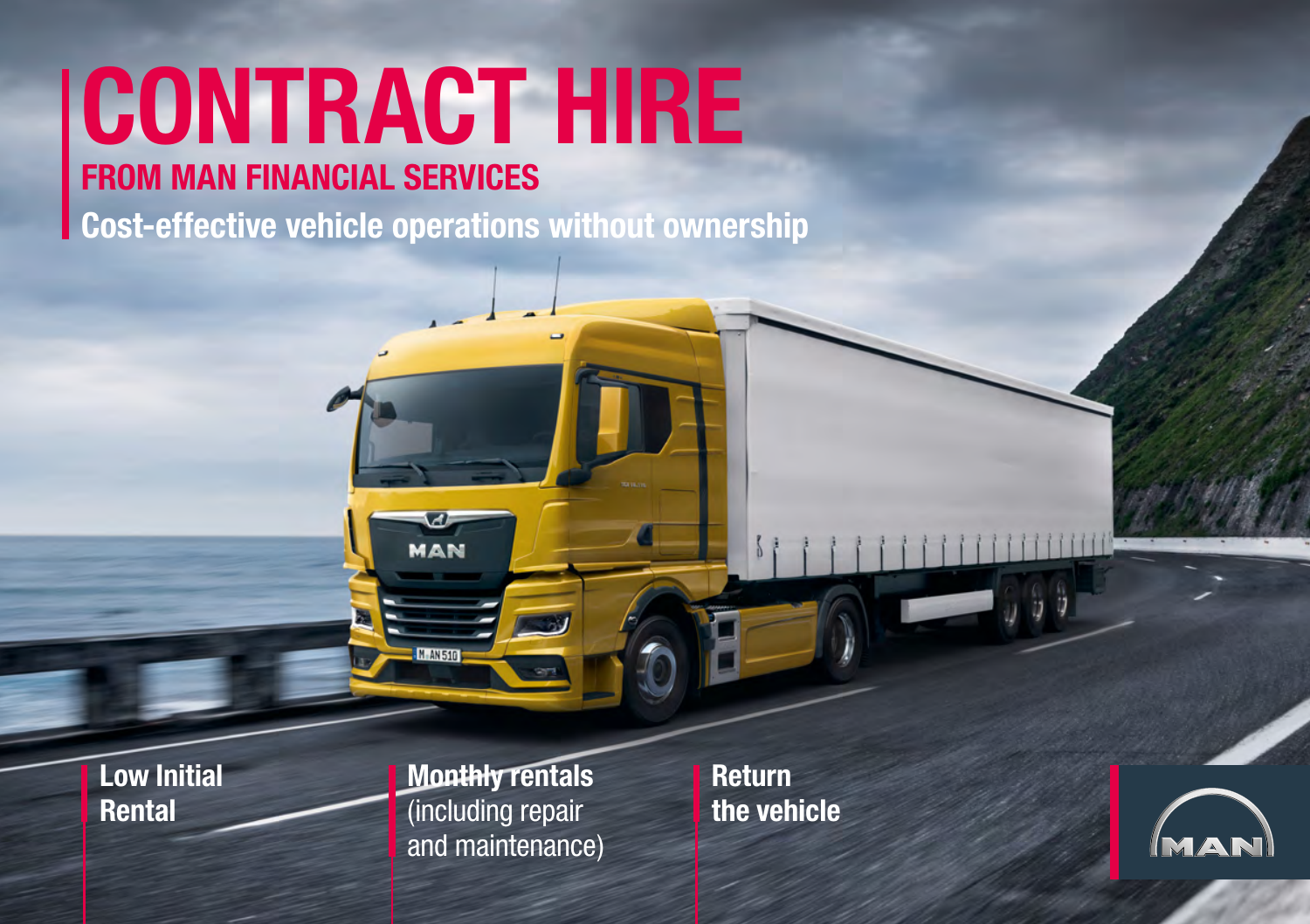## **CONTRACT HIRE FROM MAN FINANCIAL SERVICES**

**Cost-effective vehicle operations without ownership** 

MAN

**M.AN51** 

**Low Initial Rental**

**Monthly rentals**  (including repair and maintenance) **Return the vehicle**